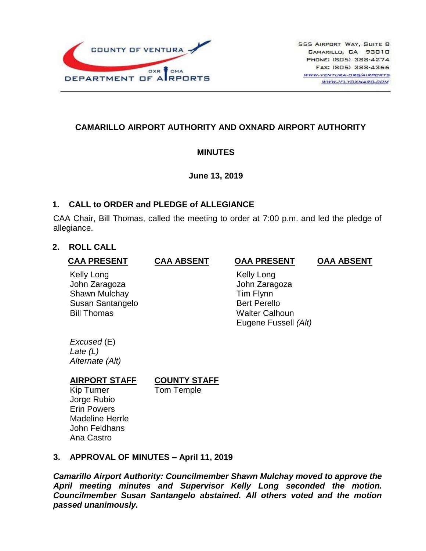

### **CAMARILLO AIRPORT AUTHORITY AND OXNARD AIRPORT AUTHORITY**

### **MINUTES**

**June 13, 2019**

### **1. CALL to ORDER and PLEDGE of ALLEGIANCE**

CAA Chair, Bill Thomas, called the meeting to order at 7:00 p.m. and led the pledge of allegiance.

# **2. ROLL CALL**

#### **CAA PRESENT**

**CAA ABSENT**

#### **OAA PRESENT**

**OAA ABSENT**

Kelly Long John Zaragoza Shawn Mulchay Susan Santangelo Bill Thomas

 Kelly Long John Zaragoza Tim Flynn Bert Perello Walter Calhoun Eugene Fussell *(Alt)*

*Excused* (E) *Late (L) Alternate (Alt)*

# **COUNTY STAFF**

Tom Temple

Kip Turner Jorge Rubio Erin Powers Madeline Herrle John Feldhans Ana Castro

**AIRPORT STAFF** 

# **3. APPROVAL OF MINUTES – April 11, 2019**

*Camarillo Airport Authority: Councilmember Shawn Mulchay moved to approve the April meeting minutes and Supervisor Kelly Long seconded the motion. Councilmember Susan Santangelo abstained. All others voted and the motion passed unanimously.*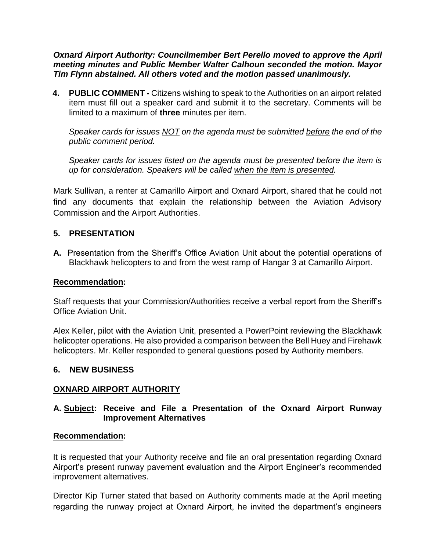*Oxnard Airport Authority: Councilmember Bert Perello moved to approve the April meeting minutes and Public Member Walter Calhoun seconded the motion. Mayor Tim Flynn abstained. All others voted and the motion passed unanimously.*

**4. PUBLIC COMMENT -** Citizens wishing to speak to the Authorities on an airport related item must fill out a speaker card and submit it to the secretary. Comments will be limited to a maximum of **three** minutes per item.

*Speaker cards for issues NOT on the agenda must be submitted before the end of the public comment period.* 

*Speaker cards for issues listed on the agenda must be presented before the item is up for consideration. Speakers will be called when the item is presented.*

Mark Sullivan, a renter at Camarillo Airport and Oxnard Airport, shared that he could not find any documents that explain the relationship between the Aviation Advisory Commission and the Airport Authorities.

### **5. PRESENTATION**

**A.** Presentation from the Sheriff's Office Aviation Unit about the potential operations of Blackhawk helicopters to and from the west ramp of Hangar 3 at Camarillo Airport.

#### **Recommendation:**

Staff requests that your Commission/Authorities receive a verbal report from the Sheriff's Office Aviation Unit.

Alex Keller, pilot with the Aviation Unit, presented a PowerPoint reviewing the Blackhawk helicopter operations. He also provided a comparison between the Bell Huey and Firehawk helicopters. Mr. Keller responded to general questions posed by Authority members.

#### **6. NEW BUSINESS**

#### **OXNARD AIRPORT AUTHORITY**

#### **A. Subject: Receive and File a Presentation of the Oxnard Airport Runway Improvement Alternatives**

#### **Recommendation:**

It is requested that your Authority receive and file an oral presentation regarding Oxnard Airport's present runway pavement evaluation and the Airport Engineer's recommended improvement alternatives.

Director Kip Turner stated that based on Authority comments made at the April meeting regarding the runway project at Oxnard Airport, he invited the department's engineers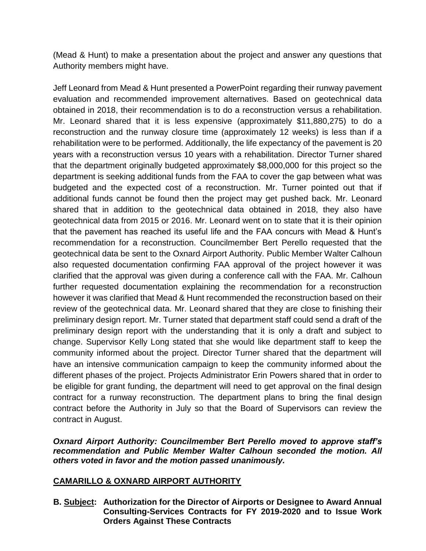(Mead & Hunt) to make a presentation about the project and answer any questions that Authority members might have.

Jeff Leonard from Mead & Hunt presented a PowerPoint regarding their runway pavement evaluation and recommended improvement alternatives. Based on geotechnical data obtained in 2018, their recommendation is to do a reconstruction versus a rehabilitation. Mr. Leonard shared that it is less expensive (approximately \$11,880,275) to do a reconstruction and the runway closure time (approximately 12 weeks) is less than if a rehabilitation were to be performed. Additionally, the life expectancy of the pavement is 20 years with a reconstruction versus 10 years with a rehabilitation. Director Turner shared that the department originally budgeted approximately \$8,000,000 for this project so the department is seeking additional funds from the FAA to cover the gap between what was budgeted and the expected cost of a reconstruction. Mr. Turner pointed out that if additional funds cannot be found then the project may get pushed back. Mr. Leonard shared that in addition to the geotechnical data obtained in 2018, they also have geotechnical data from 2015 or 2016. Mr. Leonard went on to state that it is their opinion that the pavement has reached its useful life and the FAA concurs with Mead & Hunt's recommendation for a reconstruction. Councilmember Bert Perello requested that the geotechnical data be sent to the Oxnard Airport Authority. Public Member Walter Calhoun also requested documentation confirming FAA approval of the project however it was clarified that the approval was given during a conference call with the FAA. Mr. Calhoun further requested documentation explaining the recommendation for a reconstruction however it was clarified that Mead & Hunt recommended the reconstruction based on their review of the geotechnical data. Mr. Leonard shared that they are close to finishing their preliminary design report. Mr. Turner stated that department staff could send a draft of the preliminary design report with the understanding that it is only a draft and subject to change. Supervisor Kelly Long stated that she would like department staff to keep the community informed about the project. Director Turner shared that the department will have an intensive communication campaign to keep the community informed about the different phases of the project. Projects Administrator Erin Powers shared that in order to be eligible for grant funding, the department will need to get approval on the final design contract for a runway reconstruction. The department plans to bring the final design contract before the Authority in July so that the Board of Supervisors can review the contract in August.

*Oxnard Airport Authority: Councilmember Bert Perello moved to approve staff's recommendation and Public Member Walter Calhoun seconded the motion. All others voted in favor and the motion passed unanimously.*

#### **CAMARILLO & OXNARD AIRPORT AUTHORITY**

**B. Subject: Authorization for the Director of Airports or Designee to Award Annual Consulting-Services Contracts for FY 2019-2020 and to Issue Work Orders Against These Contracts**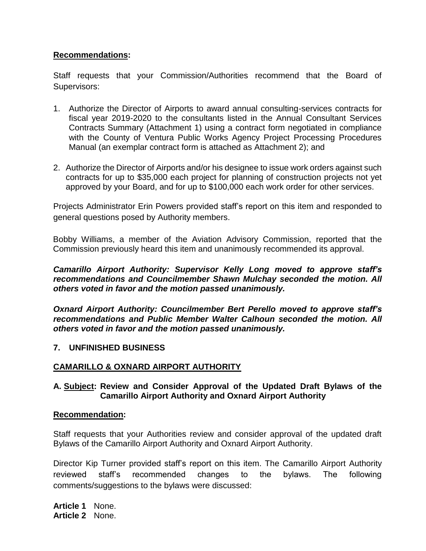#### **Recommendations:**

Staff requests that your Commission/Authorities recommend that the Board of Supervisors:

- 1. Authorize the Director of Airports to award annual consulting-services contracts for fiscal year 2019-2020 to the consultants listed in the Annual Consultant Services Contracts Summary (Attachment 1) using a contract form negotiated in compliance with the County of Ventura Public Works Agency Project Processing Procedures Manual (an exemplar contract form is attached as Attachment 2); and
- 2. Authorize the Director of Airports and/or his designee to issue work orders against such contracts for up to \$35,000 each project for planning of construction projects not yet approved by your Board, and for up to \$100,000 each work order for other services.

Projects Administrator Erin Powers provided staff's report on this item and responded to general questions posed by Authority members.

Bobby Williams, a member of the Aviation Advisory Commission, reported that the Commission previously heard this item and unanimously recommended its approval.

#### *Camarillo Airport Authority: Supervisor Kelly Long moved to approve staff's recommendations and Councilmember Shawn Mulchay seconded the motion. All others voted in favor and the motion passed unanimously.*

*Oxnard Airport Authority: Councilmember Bert Perello moved to approve staff's recommendations and Public Member Walter Calhoun seconded the motion. All others voted in favor and the motion passed unanimously.*

#### **7. UNFINISHED BUSINESS**

# **CAMARILLO & OXNARD AIRPORT AUTHORITY**

#### **A. Subject: Review and Consider Approval of the Updated Draft Bylaws of the Camarillo Airport Authority and Oxnard Airport Authority**

#### **Recommendation:**

Staff requests that your Authorities review and consider approval of the updated draft Bylaws of the Camarillo Airport Authority and Oxnard Airport Authority.

Director Kip Turner provided staff's report on this item. The Camarillo Airport Authority reviewed staff's recommended changes to the bylaws. The following comments/suggestions to the bylaws were discussed:

**Article 1** None. **Article 2** None.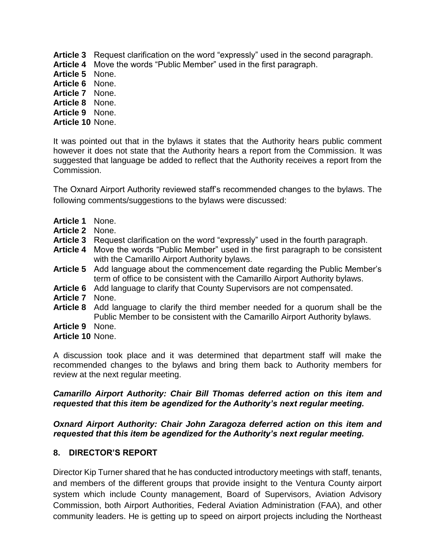- **Article 3** Request clarification on the word "expressly" used in the second paragraph.
- **Article 4** Move the words "Public Member" used in the first paragraph.
- **Article 5** None.
- **Article 6** None.
- **Article 7** None.
- **Article 8** None.
- **Article 9** None.
- **Article 10** None.

It was pointed out that in the bylaws it states that the Authority hears public comment however it does not state that the Authority hears a report from the Commission. It was suggested that language be added to reflect that the Authority receives a report from the Commission.

The Oxnard Airport Authority reviewed staff's recommended changes to the bylaws. The following comments/suggestions to the bylaws were discussed:

- **Article 1** None.
- **Article 2** None.
- **Article 3** Request clarification on the word "expressly" used in the fourth paragraph.
- **Article 4** Move the words "Public Member" used in the first paragraph to be consistent with the Camarillo Airport Authority bylaws.
- **Article 5** Add language about the commencement date regarding the Public Member's term of office to be consistent with the Camarillo Airport Authority bylaws.
- **Article 6** Add language to clarify that County Supervisors are not compensated.
- **Article 7** None.
- **Article 8** Add language to clarify the third member needed for a quorum shall be the Public Member to be consistent with the Camarillo Airport Authority bylaws.
- **Article 9** None.
- **Article 10** None.

A discussion took place and it was determined that department staff will make the recommended changes to the bylaws and bring them back to Authority members for review at the next regular meeting.

### *Camarillo Airport Authority: Chair Bill Thomas deferred action on this item and requested that this item be agendized for the Authority's next regular meeting.*

*Oxnard Airport Authority: Chair John Zaragoza deferred action on this item and requested that this item be agendized for the Authority's next regular meeting.* 

# **8. DIRECTOR'S REPORT**

Director Kip Turner shared that he has conducted introductory meetings with staff, tenants, and members of the different groups that provide insight to the Ventura County airport system which include County management, Board of Supervisors, Aviation Advisory Commission, both Airport Authorities, Federal Aviation Administration (FAA), and other community leaders. He is getting up to speed on airport projects including the Northeast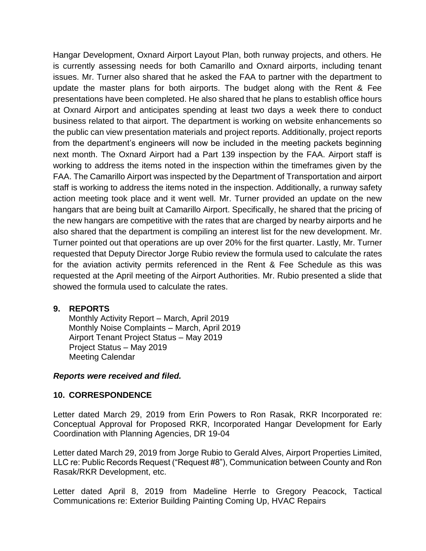Hangar Development, Oxnard Airport Layout Plan, both runway projects, and others. He is currently assessing needs for both Camarillo and Oxnard airports, including tenant issues. Mr. Turner also shared that he asked the FAA to partner with the department to update the master plans for both airports. The budget along with the Rent & Fee presentations have been completed. He also shared that he plans to establish office hours at Oxnard Airport and anticipates spending at least two days a week there to conduct business related to that airport. The department is working on website enhancements so the public can view presentation materials and project reports. Additionally, project reports from the department's engineers will now be included in the meeting packets beginning next month. The Oxnard Airport had a Part 139 inspection by the FAA. Airport staff is working to address the items noted in the inspection within the timeframes given by the FAA. The Camarillo Airport was inspected by the Department of Transportation and airport staff is working to address the items noted in the inspection. Additionally, a runway safety action meeting took place and it went well. Mr. Turner provided an update on the new hangars that are being built at Camarillo Airport. Specifically, he shared that the pricing of the new hangars are competitive with the rates that are charged by nearby airports and he also shared that the department is compiling an interest list for the new development. Mr. Turner pointed out that operations are up over 20% for the first quarter. Lastly, Mr. Turner requested that Deputy Director Jorge Rubio review the formula used to calculate the rates for the aviation activity permits referenced in the Rent & Fee Schedule as this was requested at the April meeting of the Airport Authorities. Mr. Rubio presented a slide that showed the formula used to calculate the rates.

#### **9. REPORTS**

Monthly Activity Report – March, April 2019 Monthly Noise Complaints – March, April 2019 Airport Tenant Project Status – May 2019 Project Status – May 2019 Meeting Calendar

#### *Reports were received and filed.*

#### **10. CORRESPONDENCE**

Letter dated March 29, 2019 from Erin Powers to Ron Rasak, RKR Incorporated re: Conceptual Approval for Proposed RKR, Incorporated Hangar Development for Early Coordination with Planning Agencies, DR 19-04

Letter dated March 29, 2019 from Jorge Rubio to Gerald Alves, Airport Properties Limited, LLC re: Public Records Request ("Request #8"), Communication between County and Ron Rasak/RKR Development, etc.

Letter dated April 8, 2019 from Madeline Herrle to Gregory Peacock, Tactical Communications re: Exterior Building Painting Coming Up, HVAC Repairs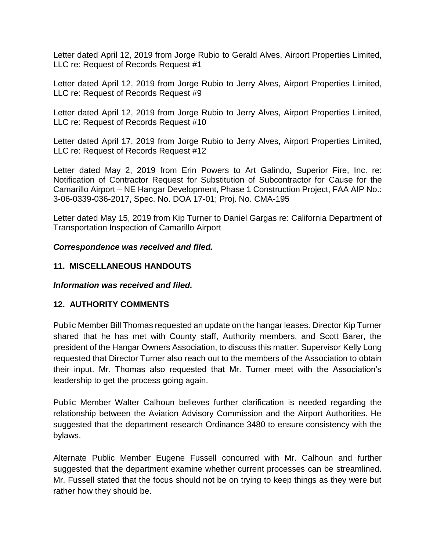Letter dated April 12, 2019 from Jorge Rubio to Gerald Alves, Airport Properties Limited, LLC re: Request of Records Request #1

Letter dated April 12, 2019 from Jorge Rubio to Jerry Alves, Airport Properties Limited, LLC re: Request of Records Request #9

Letter dated April 12, 2019 from Jorge Rubio to Jerry Alves, Airport Properties Limited, LLC re: Request of Records Request #10

Letter dated April 17, 2019 from Jorge Rubio to Jerry Alves, Airport Properties Limited, LLC re: Request of Records Request #12

Letter dated May 2, 2019 from Erin Powers to Art Galindo, Superior Fire, Inc. re: Notification of Contractor Request for Substitution of Subcontractor for Cause for the Camarillo Airport – NE Hangar Development, Phase 1 Construction Project, FAA AIP No.: 3-06-0339-036-2017, Spec. No. DOA 17-01; Proj. No. CMA-195

Letter dated May 15, 2019 from Kip Turner to Daniel Gargas re: California Department of Transportation Inspection of Camarillo Airport

### *Correspondence was received and filed.*

### **11. MISCELLANEOUS HANDOUTS**

*Information was received and filed.*

# **12. AUTHORITY COMMENTS**

Public Member Bill Thomas requested an update on the hangar leases. Director Kip Turner shared that he has met with County staff, Authority members, and Scott Barer, the president of the Hangar Owners Association, to discuss this matter. Supervisor Kelly Long requested that Director Turner also reach out to the members of the Association to obtain their input. Mr. Thomas also requested that Mr. Turner meet with the Association's leadership to get the process going again.

Public Member Walter Calhoun believes further clarification is needed regarding the relationship between the Aviation Advisory Commission and the Airport Authorities. He suggested that the department research Ordinance 3480 to ensure consistency with the bylaws.

Alternate Public Member Eugene Fussell concurred with Mr. Calhoun and further suggested that the department examine whether current processes can be streamlined. Mr. Fussell stated that the focus should not be on trying to keep things as they were but rather how they should be.